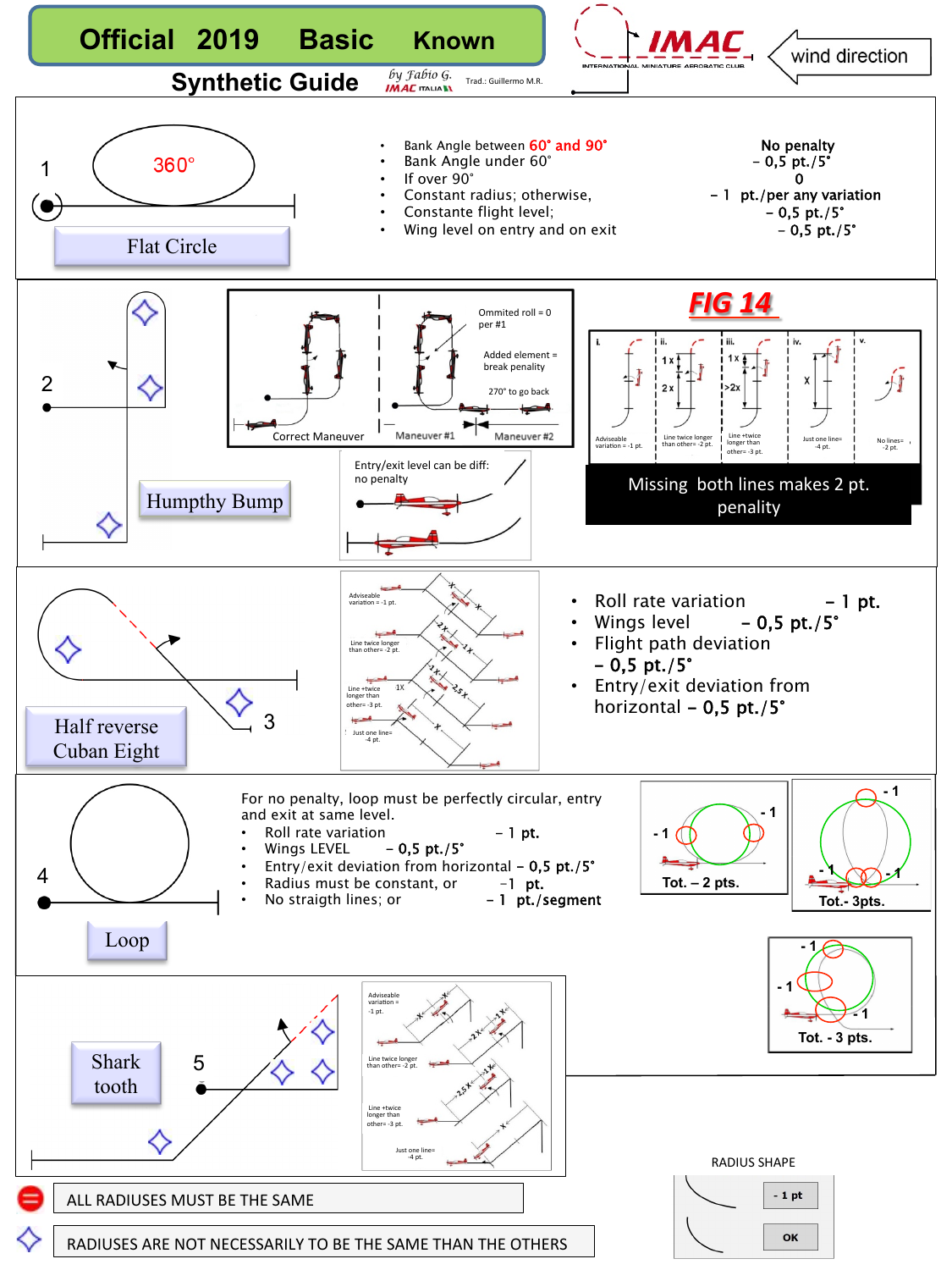